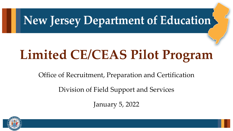## New Jersey Department of Education

# **Limited CE/CEAS Pilot Program**

Office of Recruitment, Preparation and Certification

Division of Field Support and Services

January 5, 2022

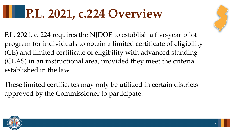## **P.L. 2021, c.224 Overview**

P.L. 2021, c. 224 requires the NJDOE to establish a five-year pilot program for individuals to obtain a limited certificate of eligibility (CE) and limited certificate of eligibility with advanced standing (CEAS) in an instructional area, provided they meet the criteria established in the law.

These limited certificates may only be utilized in certain districts approved by the Commissioner to participate.

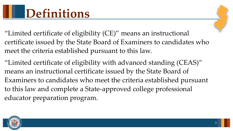- "Limited certificate of eligibility (CE)" means an instructional certificate issued by the State Board of Examiners to candidates who meet the criteria established pursuant to this law.
- "Limited certificate of eligibility with advanced standing (CEAS)" means an instructional certificate issued by the State Board of Examiners to candidates who meet the criteria established pursuant to this law and complete a State-approved college professional educator preparation program.

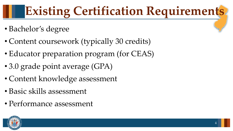# **Existing Certification Requirements**

- Bachelor's degree
- Content coursework (typically 30 credits)
- Educator preparation program (for CEAS)
- 3.0 grade point average (GPA)
- Content knowledge assessment
- Basic skills assessment
- Performance assessment

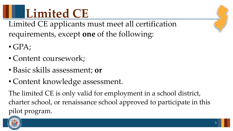**Limited CE** Limited CE applicants must meet all certification requirements, except **one** of the following:

- $\bullet$  GPA;
- Content coursework;
- Basic skills assessment; **or**
- Content knowledge assessment.

The limited CE is only valid for employment in a school district, charter school, or renaissance school approved to participate in this pilot program.

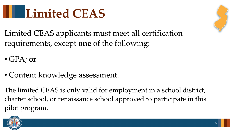

Limited CEAS applicants must meet all certification requirements, except **one** of the following:

- GPA; **or**
- Content knowledge assessment.

The limited CEAS is only valid for employment in a school district, charter school, or renaissance school approved to participate in this pilot program.

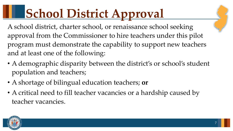# **School District Approval**

- A school district, charter school, or renaissance school seeking approval from the Commissioner to hire teachers under this pilot program must demonstrate the capability to support new teachers and at least one of the following:
- A demographic disparity between the district's or school's student population and teachers;
- A shortage of bilingual education teachers; **or**
- A critical need to fill teacher vacancies or a hardship caused by teacher vacancies.

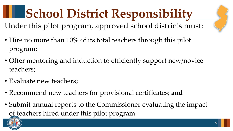**School District Responsibility** Under this pilot program, approved school districts must:

- Hire no more than 10% of its total teachers through this pilot program;
- Offer mentoring and induction to efficiently support new/novice teachers;
- Evaluate new teachers;
- Recommend new teachers for provisional certificates; **and**
- Submit annual reports to the Commissioner evaluating the impact of teachers hired under this pilot program.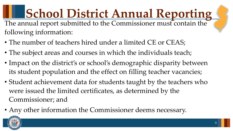**School District Annual Reporting**<br>The annual report submitted to the Commissioner must contain the following information:

- The number of teachers hired under a limited CE or CEAS;
- The subject areas and courses in which the individuals teach;
- Impact on the district's or school's demographic disparity between its student population and the effect on filling teacher vacancies;
- Student achievement data for students taught by the teachers who were issued the limited certificates, as determined by the Commissioner; and
- Any other information the Commissioner deems necessary.

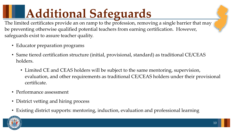# **Additional Safeguards**

The limited certificates provide an on ramp to the profession, removing a single barrier that may be preventing otherwise qualified potential teachers from earning certification. However, safeguards exist to assure teacher quality.

- Educator preparation programs
- Same tiered certification structure (initial, provisional, standard) as traditional CE/CEAS holders.
	- Limited CE and CEAS holders will be subject to the same mentoring, supervision, evaluation, and other requirements as traditional CE/CEAS holders under their provisional certificate.
- Performance assessment
- District vetting and hiring process
- Existing district supports: mentoring, induction, evaluation and professional learning